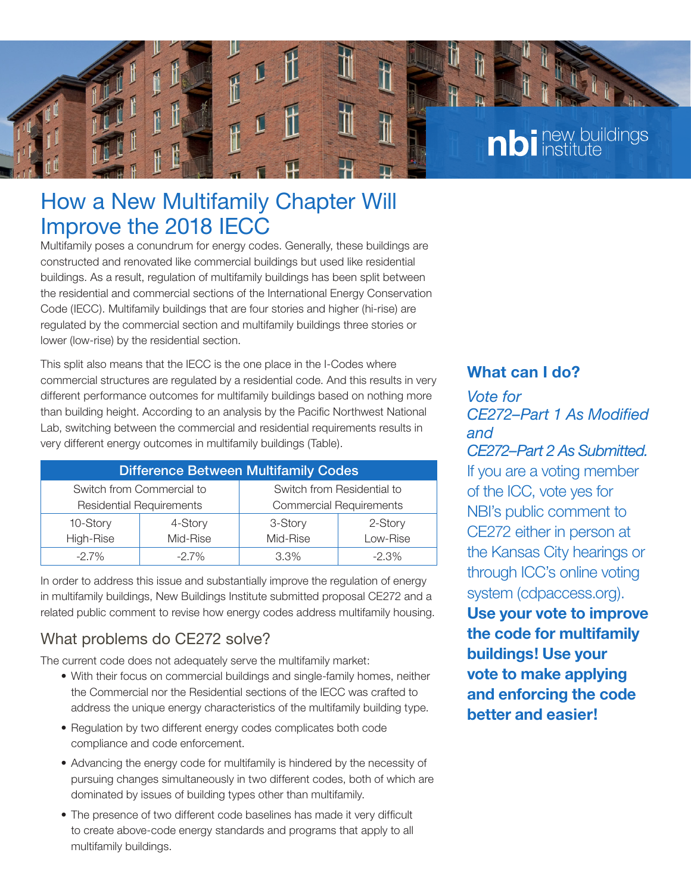

## How a New Multifamily Chapter Will Improve the 2018 IECC

Multifamily poses a conundrum for energy codes. Generally, these buildings are constructed and renovated like commercial buildings but used like residential buildings. As a result, regulation of multifamily buildings has been split between the residential and commercial sections of the International Energy Conservation Code (IECC). Multifamily buildings that are four stories and higher (hi-rise) are regulated by the commercial section and multifamily buildings three stories or lower (low-rise) by the residential section.

This split also means that the IECC is the one place in the I-Codes where commercial structures are regulated by a residential code. And this results in very different performance outcomes for multifamily buildings based on nothing more than building height. According to an analysis by the Pacific Northwest National Lab, switching between the commercial and residential requirements results in very different energy outcomes in multifamily buildings (Table).

| <b>Difference Between Multifamily Codes</b> |          |                                |          |
|---------------------------------------------|----------|--------------------------------|----------|
| Switch from Commercial to                   |          | Switch from Residential to     |          |
| <b>Residential Requirements</b>             |          | <b>Commercial Requirements</b> |          |
| 10-Story                                    | 4-Story  | 3-Story                        | 2-Story  |
| High-Rise                                   | Mid-Rise | Mid-Rise                       | Low-Rise |
| $-2.7\%$                                    | $-2.7%$  | 3.3%                           | $-2.3%$  |

In order to address this issue and substantially improve the regulation of energy in multifamily buildings, New Buildings Institute submitted proposal CE272 and a related public comment to revise how energy codes address multifamily housing.

## What problems do CE272 solve?

The current code does not adequately serve the multifamily market:

- With their focus on commercial buildings and single-family homes, neither the Commercial nor the Residential sections of the IECC was crafted to address the unique energy characteristics of the multifamily building type.
- Regulation by two different energy codes complicates both code compliance and code enforcement.
- Advancing the energy code for multifamily is hindered by the necessity of pursuing changes simultaneously in two different codes, both of which are dominated by issues of building types other than multifamily.
- The presence of two different code baselines has made it very difficult to create above-code energy standards and programs that apply to all multifamily buildings.

## **What can I do?**

*Vote for CE272–Part 1 As Modified and CE272–Part 2 As Submitted.*  If you are a voting member of the ICC, vote yes for NBI's public comment to CE272 either in person at the Kansas City hearings or through ICC's online voting system (cdpaccess.org). **Use your vote to improve the code for multifamily buildings! Use your vote to make applying and enforcing the code better and easier!**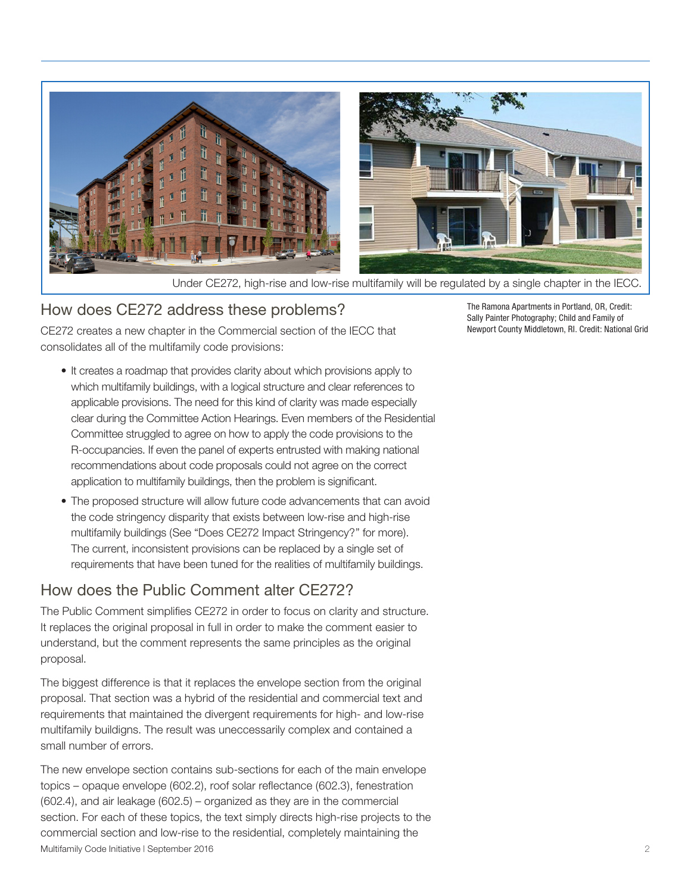

Under CE272, high-rise and low-rise multifamily will be regulated by a single chapter in the IECC.

### How does CE272 address these problems?

CE272 creates a new chapter in the Commercial section of the IECC that consolidates all of the multifamily code provisions:

- It creates a roadmap that provides clarity about which provisions apply to which multifamily buildings, with a logical structure and clear references to applicable provisions. The need for this kind of clarity was made especially clear during the Committee Action Hearings. Even members of the Residential Committee struggled to agree on how to apply the code provisions to the R-occupancies. If even the panel of experts entrusted with making national recommendations about code proposals could not agree on the correct application to multifamily buildings, then the problem is significant.
- The proposed structure will allow future code advancements that can avoid the code stringency disparity that exists between low-rise and high-rise multifamily buildings (See "Does CE272 Impact Stringency?" for more). The current, inconsistent provisions can be replaced by a single set of requirements that have been tuned for the realities of multifamily buildings.

## How does the Public Comment alter CE272?

The Public Comment simplifies CE272 in order to focus on clarity and structure. It replaces the original proposal in full in order to make the comment easier to understand, but the comment represents the same principles as the original proposal.

The biggest difference is that it replaces the envelope section from the original proposal. That section was a hybrid of the residential and commercial text and requirements that maintained the divergent requirements for high- and low-rise multifamily buildigns. The result was uneccessarily complex and contained a small number of errors.

Multifamily Code Initiative | September 2016 2 The new envelope section contains sub-sections for each of the main envelope topics – opaque envelope (602.2), roof solar reflectance (602.3), fenestration (602.4), and air leakage (602.5) – organized as they are in the commercial section. For each of these topics, the text simply directs high-rise projects to the commercial section and low-rise to the residential, completely maintaining the

The Ramona Apartments in Portland, OR, Credit: Sally Painter Photography; Child and Family of Newport County Middletown, RI. Credit: National Grid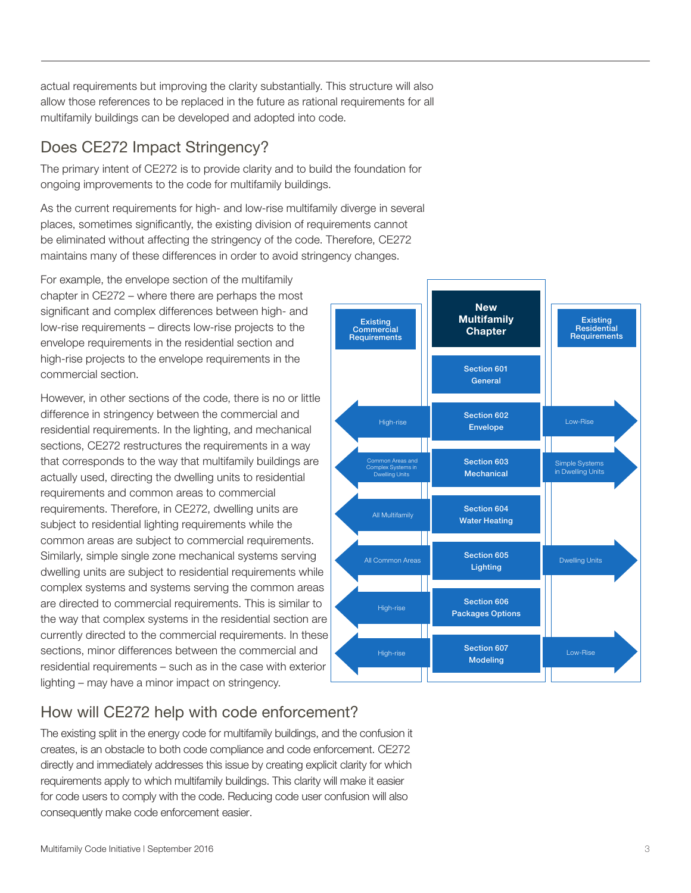actual requirements but improving the clarity substantially. This structure will also allow those references to be replaced in the future as rational requirements for all multifamily buildings can be developed and adopted into code.

## Does CE272 Impact Stringency?

The primary intent of CE272 is to provide clarity and to build the foundation for ongoing improvements to the code for multifamily buildings.

As the current requirements for high- and low-rise multifamily diverge in several places, sometimes significantly, the existing division of requirements cannot be eliminated without affecting the stringency of the code. Therefore, CE272 maintains many of these differences in order to avoid stringency changes.

For example, the envelope section of the multifamily chapter in CE272 – where there are perhaps the most significant and complex differences between high- and low-rise requirements – directs low-rise projects to the envelope requirements in the residential section and high-rise projects to the envelope requirements in the commercial section.

However, in other sections of the code, there is no or little difference in stringency between the commercial and residential requirements. In the lighting, and mechanical sections, CE272 restructures the requirements in a way that corresponds to the way that multifamily buildings are actually used, directing the dwelling units to residential requirements and common areas to commercial requirements. Therefore, in CE272, dwelling units are subject to residential lighting requirements while the common areas are subject to commercial requirements. Similarly, simple single zone mechanical systems serving dwelling units are subject to residential requirements while complex systems and systems serving the common areas are directed to commercial requirements. This is similar to the way that complex systems in the residential section are currently directed to the commercial requirements. In these sections, minor differences between the commercial and residential requirements – such as in the case with exterior lighting – may have a minor impact on stringency.

#### Existing Commercial **Requirements New Multifamily Chapter** Section 601 **General** Section 602 Envelope Section 603 **Mechanical** Section 604 Water Heating Section 605 Lighting Section 606 Packages Options Section 607 Modeling **Existing** Residential Requirements Low-Rise Low-Rise Simple Systems in Dwelling Units Dwelling Units High-rise High-rise High-rise All Multifamily All Common Areas Complex Systems in Dwelling Units

## How will CE272 help with code enforcement?

The existing split in the energy code for multifamily buildings, and the confusion it creates, is an obstacle to both code compliance and code enforcement. CE272 directly and immediately addresses this issue by creating explicit clarity for which requirements apply to which multifamily buildings. This clarity will make it easier for code users to comply with the code. Reducing code user confusion will also consequently make code enforcement easier.